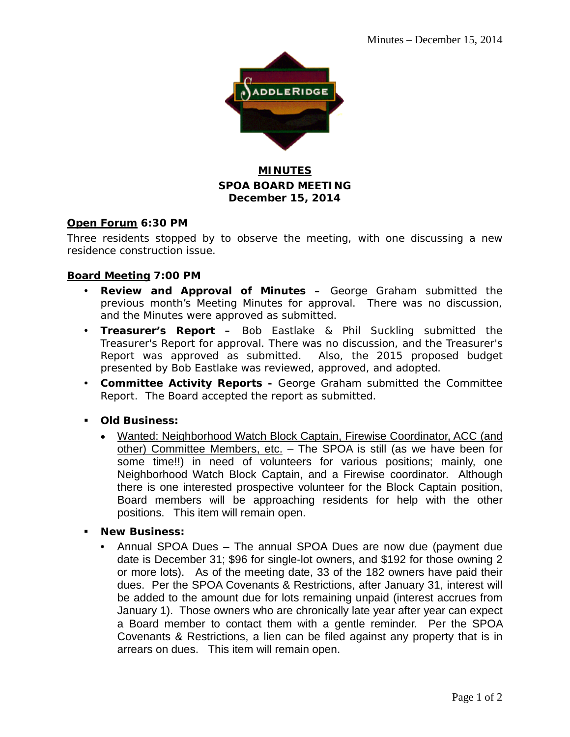

### **MINUTES SPOA BOARD MEETING December 15, 2014**

#### **Open Forum 6:30 PM**

Three residents stopped by to observe the meeting, with one discussing a new residence construction issue.

#### **Board Meeting 7:00 PM**

- **Review and Approval of Minutes –** George Graham submitted the previous month's Meeting Minutes for approval. There was no discussion, and the Minutes were approved as submitted.
- **Treasurer's Report –** Bob Eastlake & Phil Suckling submitted the Treasurer's Report for approval. There was no discussion, and the Treasurer's Report was approved as submitted. Also, the 2015 proposed budget presented by Bob Eastlake was reviewed, approved, and adopted.
- **Committee Activity Reports -** George Graham submitted the Committee Report. The Board accepted the report as submitted.
- **Old Business:**
	- Wanted: Neighborhood Watch Block Captain, Firewise Coordinator, ACC (and other) Committee Members, etc. – The SPOA is still (as we have been for some time!!) in need of volunteers for various positions; mainly, one Neighborhood Watch Block Captain, and a Firewise coordinator. Although there is one interested prospective volunteer for the Block Captain position, Board members will be approaching residents for help with the other positions. This item will remain open.
- **New Business:**
	- Annual SPOA Dues The annual SPOA Dues are now due (payment due date is December 31; \$96 for single-lot owners, and \$192 for those owning 2 or more lots). As of the meeting date, 33 of the 182 owners have paid their dues. Per the SPOA Covenants & Restrictions, after January 31, interest will be added to the amount due for lots remaining unpaid (interest accrues from January 1). Those owners who are chronically late year after year can expect a Board member to contact them with a gentle reminder. Per the SPOA Covenants & Restrictions, a lien can be filed against any property that is in arrears on dues. This item will remain open.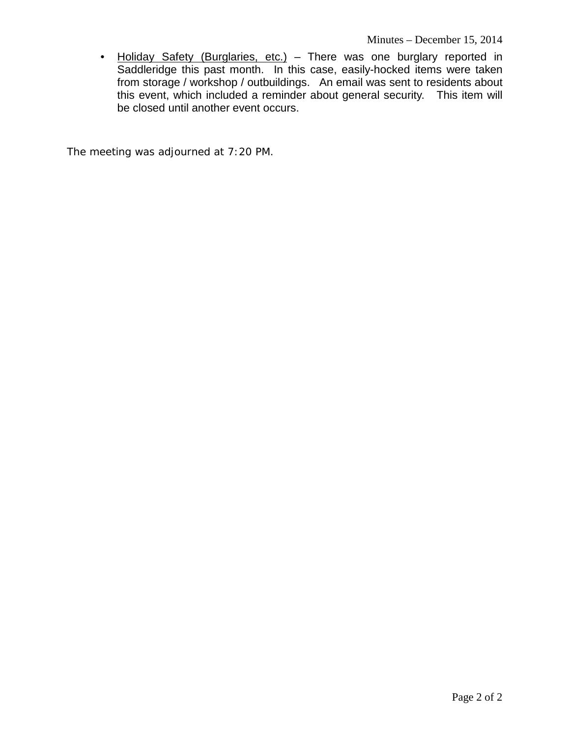• Holiday Safety (Burglaries, etc.) - There was one burglary reported in Saddleridge this past month. In this case, easily-hocked items were taken from storage / workshop / outbuildings. An email was sent to residents about this event, which included a reminder about general security. This item will be closed until another event occurs.

The meeting was adjourned at 7:20 PM.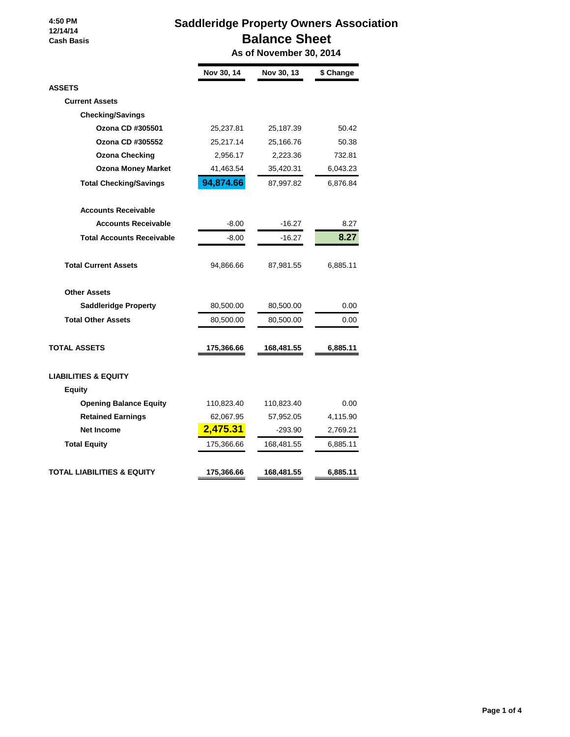#### **4:50 PM 12/14/14 Cash Basis**

## **Saddleridge Property Owners Association Balance Sheet**

 **As of November 30, 2014**

|                                  | Nov 30, 14 | Nov 30, 13 | \$ Change |
|----------------------------------|------------|------------|-----------|
| <b>ASSETS</b>                    |            |            |           |
| <b>Current Assets</b>            |            |            |           |
| <b>Checking/Savings</b>          |            |            |           |
| Ozona CD #305501                 | 25,237.81  | 25,187.39  | 50.42     |
| Ozona CD #305552                 | 25,217.14  | 25,166.76  | 50.38     |
| <b>Ozona Checking</b>            | 2,956.17   | 2,223.36   | 732.81    |
| <b>Ozona Money Market</b>        | 41,463.54  | 35,420.31  | 6,043.23  |
| <b>Total Checking/Savings</b>    | 94,874.66  | 87,997.82  | 6,876.84  |
| <b>Accounts Receivable</b>       |            |            |           |
| <b>Accounts Receivable</b>       | $-8.00$    | -16.27     | 8.27      |
| <b>Total Accounts Receivable</b> | $-8.00$    | -16.27     | 8.27      |
| <b>Total Current Assets</b>      | 94,866.66  | 87,981.55  | 6,885.11  |
| <b>Other Assets</b>              |            |            |           |
| <b>Saddleridge Property</b>      | 80,500.00  | 80,500.00  | 0.00      |
| <b>Total Other Assets</b>        | 80,500.00  | 80,500.00  | 0.00      |
| <b>TOTAL ASSETS</b>              | 175,366.66 | 168,481.55 | 6,885.11  |
| <b>LIABILITIES &amp; EQUITY</b>  |            |            |           |
| <b>Equity</b>                    |            |            |           |
| <b>Opening Balance Equity</b>    | 110,823.40 | 110,823.40 | 0.00      |
| <b>Retained Earnings</b>         | 62,067.95  | 57,952.05  | 4,115.90  |
| <b>Net Income</b>                | 2,475.31   | -293.90    | 2,769.21  |
| <b>Total Equity</b>              | 175,366.66 | 168,481.55 | 6,885.11  |
| TOTAL LIABILITIES & EQUITY       | 175,366.66 | 168,481.55 | 6,885.11  |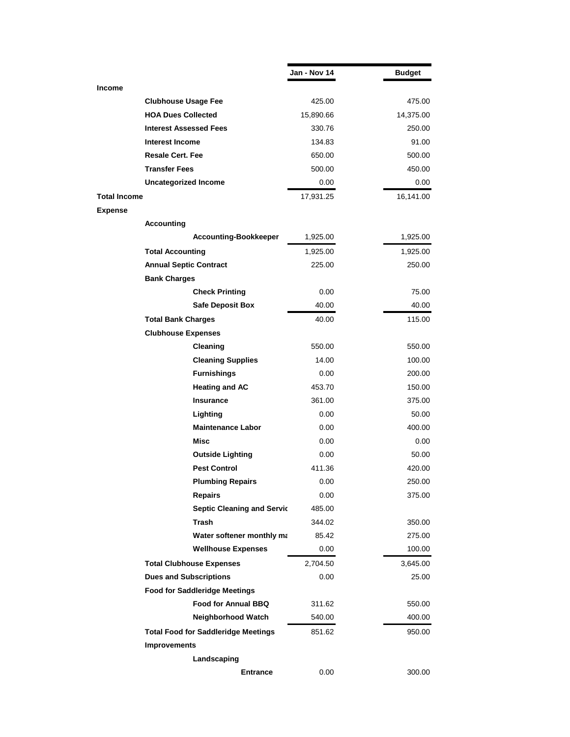|                     |                                            | Jan - Nov 14 | <b>Budget</b> |
|---------------------|--------------------------------------------|--------------|---------------|
| <b>Income</b>       |                                            |              |               |
|                     | <b>Clubhouse Usage Fee</b>                 | 425.00       | 475.00        |
|                     | <b>HOA Dues Collected</b>                  | 15,890.66    | 14,375.00     |
|                     | <b>Interest Assessed Fees</b>              | 330.76       | 250.00        |
|                     | Interest Income                            | 134.83       | 91.00         |
|                     | <b>Resale Cert. Fee</b>                    | 650.00       | 500.00        |
|                     | <b>Transfer Fees</b>                       | 500.00       | 450.00        |
|                     | <b>Uncategorized Income</b>                | 0.00         | 0.00          |
| <b>Total Income</b> |                                            | 17,931.25    | 16,141.00     |
| <b>Expense</b>      |                                            |              |               |
|                     | <b>Accounting</b>                          |              |               |
|                     | <b>Accounting-Bookkeeper</b>               | 1,925.00     | 1,925.00      |
|                     | <b>Total Accounting</b>                    | 1,925.00     | 1,925.00      |
|                     | <b>Annual Septic Contract</b>              | 225.00       | 250.00        |
|                     | <b>Bank Charges</b>                        |              |               |
|                     | <b>Check Printing</b>                      | 0.00         | 75.00         |
|                     | <b>Safe Deposit Box</b>                    | 40.00        | 40.00         |
|                     | <b>Total Bank Charges</b>                  | 40.00        | 115.00        |
|                     | <b>Clubhouse Expenses</b>                  |              |               |
|                     | Cleaning                                   | 550.00       | 550.00        |
|                     | <b>Cleaning Supplies</b>                   | 14.00        | 100.00        |
|                     | <b>Furnishings</b>                         | 0.00         | 200.00        |
|                     | <b>Heating and AC</b>                      | 453.70       | 150.00        |
|                     | <b>Insurance</b>                           | 361.00       | 375.00        |
|                     | Lighting                                   | 0.00         | 50.00         |
|                     | <b>Maintenance Labor</b>                   | 0.00         | 400.00        |
|                     | Misc                                       | 0.00         | 0.00          |
|                     | <b>Outside Lighting</b>                    | 0.00         | 50.00         |
|                     | <b>Pest Control</b>                        | 411.36       | 420.00        |
|                     | <b>Plumbing Repairs</b>                    | 0.00         | 250.00        |
|                     | <b>Repairs</b>                             | 0.00         | 375.00        |
|                     | <b>Septic Cleaning and Servic</b>          | 485.00       |               |
|                     | <b>Trash</b>                               | 344.02       | 350.00        |
|                     | Water softener monthly ma                  | 85.42        | 275.00        |
|                     | <b>Wellhouse Expenses</b>                  | 0.00         | 100.00        |
|                     | <b>Total Clubhouse Expenses</b>            | 2,704.50     | 3,645.00      |
|                     | <b>Dues and Subscriptions</b>              | 0.00         | 25.00         |
|                     | <b>Food for Saddleridge Meetings</b>       |              |               |
|                     | Food for Annual BBQ                        | 311.62       | 550.00        |
|                     | Neighborhood Watch                         | 540.00       | 400.00        |
|                     | <b>Total Food for Saddleridge Meetings</b> | 851.62       | 950.00        |
|                     | <b>Improvements</b>                        |              |               |
|                     | Landscaping                                |              |               |
|                     | <b>Entrance</b>                            | 0.00         | 300.00        |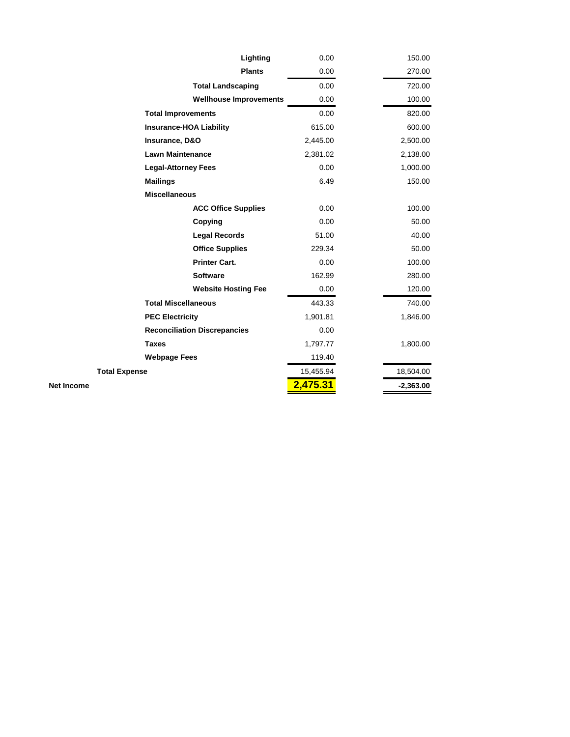| Lighting                            | 0.00      | 150.00      |
|-------------------------------------|-----------|-------------|
| <b>Plants</b>                       | 0.00      | 270.00      |
| <b>Total Landscaping</b>            | 0.00      | 720.00      |
| <b>Wellhouse Improvements</b>       | 0.00      | 100.00      |
| <b>Total Improvements</b>           | 0.00      | 820.00      |
| <b>Insurance-HOA Liability</b>      | 615.00    | 600.00      |
| Insurance, D&O                      | 2,445.00  | 2,500.00    |
| <b>Lawn Maintenance</b>             | 2,381.02  | 2,138.00    |
| <b>Legal-Attorney Fees</b>          | 0.00      | 1,000.00    |
| <b>Mailings</b>                     | 6.49      | 150.00      |
| <b>Miscellaneous</b>                |           |             |
| <b>ACC Office Supplies</b>          | 0.00      | 100.00      |
| Copying                             | 0.00      | 50.00       |
| <b>Legal Records</b>                | 51.00     | 40.00       |
| <b>Office Supplies</b>              | 229.34    | 50.00       |
| <b>Printer Cart.</b>                | 0.00      | 100.00      |
| <b>Software</b>                     | 162.99    | 280.00      |
| <b>Website Hosting Fee</b>          | 0.00      | 120.00      |
| <b>Total Miscellaneous</b>          | 443.33    | 740.00      |
| <b>PEC Electricity</b>              | 1,901.81  | 1,846.00    |
| <b>Reconciliation Discrepancies</b> | 0.00      |             |
| <b>Taxes</b>                        | 1,797.77  | 1,800.00    |
| <b>Webpage Fees</b>                 | 119.40    |             |
| <b>Total Expense</b>                | 15,455.94 | 18,504.00   |
| <b>Net Income</b>                   | 2,475.31  | $-2,363.00$ |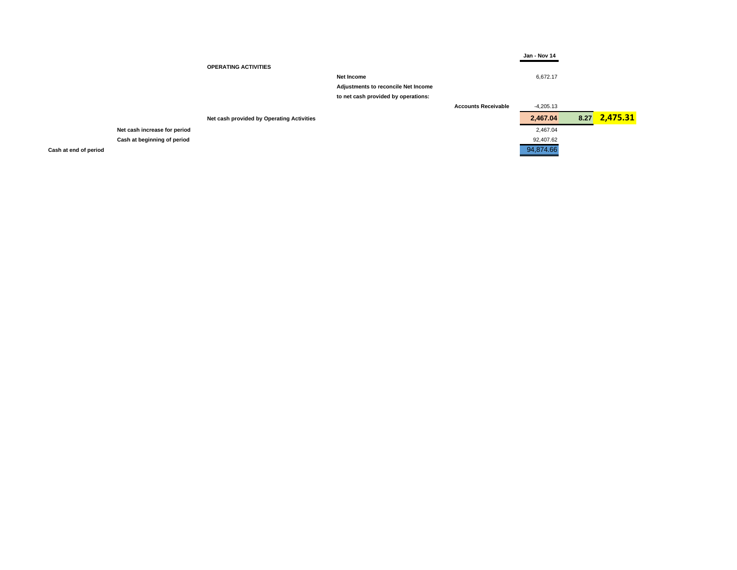|                                           |                                            |                            | Jan - Nov 14 |      |          |
|-------------------------------------------|--------------------------------------------|----------------------------|--------------|------|----------|
| <b>OPERATING ACTIVITIES</b>               |                                            |                            |              |      |          |
|                                           | Net Income                                 |                            | 6,672.17     |      |          |
|                                           | <b>Adjustments to reconcile Net Income</b> |                            |              |      |          |
|                                           | to net cash provided by operations:        |                            |              |      |          |
|                                           |                                            | <b>Accounts Receivable</b> | -4,205.13    |      |          |
| Net cash provided by Operating Activities |                                            |                            | 2,467.04     | 8.27 | 2,475.31 |
| Net cash increase for period              |                                            |                            | 2,467.04     |      |          |
| Cash at beginning of period               |                                            |                            | 92,407.62    |      |          |
| Cash at end of period                     |                                            |                            | 94,874.66    |      |          |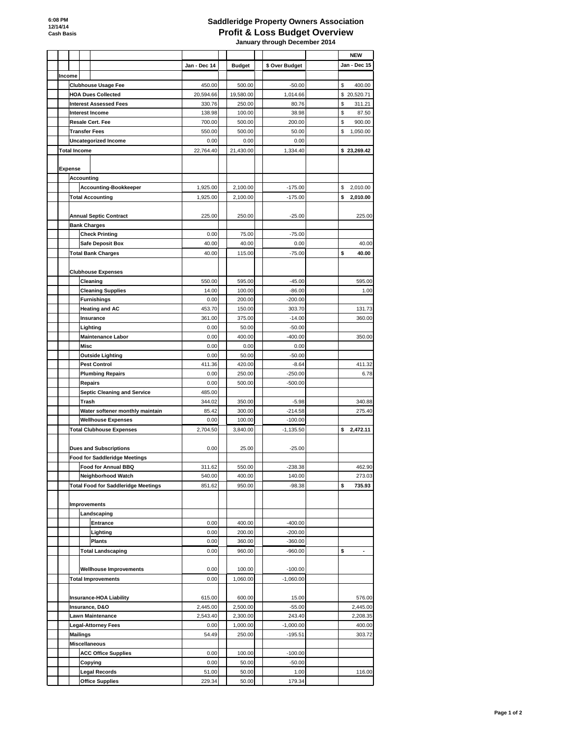# **Saddleridge Property Owners Association Profit & Loss Budget Overview**

 **January through December 2014**

|                |                                            |                |                 |                      | <b>NEW</b>          |
|----------------|--------------------------------------------|----------------|-----------------|----------------------|---------------------|
|                |                                            | Jan - Dec 14   | <b>Budget</b>   | \$ Over Budget       | <b>Jan - Dec 15</b> |
| Income         |                                            |                |                 |                      |                     |
|                | <b>Clubhouse Usage Fee</b>                 | 450.00         | 500.00          | $-50.00$             | \$<br>400.00        |
|                | <b>HOA Dues Collected</b>                  | 20,594.66      | 19,580.00       | 1,014.66             | \$20,520.71         |
|                | <b>Interest Assessed Fees</b>              | 330.76         | 250.00          | 80.76                | \$<br>311.21        |
|                | <b>Interest Income</b>                     | 138.98         | 100.00          | 38.98                | \$<br>87.50         |
|                | <b>Resale Cert. Fee</b>                    | 700.00         | 500.00          | 200.00               | \$<br>900.00        |
|                | <b>Transfer Fees</b>                       | 550.00         | 500.00          | 50.00                | \$<br>1,050.00      |
|                | <b>Uncategorized Income</b>                | 0.00           | 0.00            | 0.00                 |                     |
|                | <b>Total Income</b>                        | 22,764.40      | 21,430.00       | 1,334.40             | \$23,269.42         |
|                |                                            |                |                 |                      |                     |
| <b>Expense</b> |                                            |                |                 |                      |                     |
|                | <b>Accounting</b>                          |                |                 |                      |                     |
|                | <b>Accounting-Bookkeeper</b>               | 1,925.00       | 2,100.00        | $-175.00$            | \$<br>2,010.00      |
|                | <b>Total Accounting</b>                    | 1,925.00       | 2,100.00        | $-175.00$            | \$<br>2,010.00      |
|                |                                            |                |                 |                      |                     |
|                | <b>Annual Septic Contract</b>              | 225.00         | 250.00          | $-25.00$             | 225.00              |
|                | <b>Bank Charges</b>                        |                |                 |                      |                     |
|                | <b>Check Printing</b>                      | 0.00           | 75.00           | $-75.00$             |                     |
|                | <b>Safe Deposit Box</b>                    | 40.00          | 40.00           | 0.00                 | 40.00               |
|                | <b>Total Bank Charges</b>                  | 40.00          | 115.00          | $-75.00$             | \$<br>40.00         |
|                |                                            |                |                 |                      |                     |
|                | <b>Clubhouse Expenses</b>                  |                |                 |                      |                     |
|                | Cleaning                                   | 550.00         | 595.00          | $-45.00$             | 595.00              |
|                | <b>Cleaning Supplies</b>                   | 14.00          | 100.00          | $-86.00$             | 1.00                |
|                | <b>Furnishings</b>                         | 0.00           | 200.00          | $-200.00$            |                     |
|                | <b>Heating and AC</b>                      | 453.70         | 150.00          | 303.70               | 131.73<br>360.00    |
|                | <b>Insurance</b><br>Lighting               | 361.00<br>0.00 | 375.00<br>50.00 | $-14.00$<br>$-50.00$ |                     |
|                | <b>Maintenance Labor</b>                   | 0.00           | 400.00          | $-400.00$            | 350.00              |
|                | <b>Misc</b>                                | 0.00           | 0.00            | 0.00                 |                     |
|                | <b>Outside Lighting</b>                    | 0.00           | 50.00           | $-50.00$             |                     |
|                | <b>Pest Control</b>                        | 411.36         | 420.00          | $-8.64$              | 411.32              |
|                | <b>Plumbing Repairs</b>                    | 0.00           | 250.00          | $-250.00$            | 6.78                |
|                | <b>Repairs</b>                             | 0.00           | 500.00          | $-500.00$            |                     |
|                | <b>Septic Cleaning and Service</b>         | 485.00         |                 |                      |                     |
|                | <b>Trash</b>                               | 344.02         | 350.00          | $-5.98$              | 340.88              |
|                | Water softener monthly maintain            | 85.42          | 300.00          | $-214.58$            | 275.40              |
|                | <b>Wellhouse Expenses</b>                  | 0.00           | 100.00          | $-100.00$            |                     |
|                | <b>Total Clubhouse Expenses</b>            | 2,704.50       | 3,840.00        | $-1,135.50$          | \$<br>2,472.11      |
|                |                                            |                |                 |                      |                     |
|                | <b>Dues and Subscriptions</b>              | 0.00           | 25.00           | $-25.00$             |                     |
|                | <b>Food for Saddleridge Meetings</b>       |                |                 |                      |                     |
|                | <b>Food for Annual BBQ</b>                 | 311.62         | 550.00          | $-238.38$            | 462.90              |
|                | Neighborhood Watch                         | 540.00         | 400.00          | 140.00               | 273.03              |
|                | <b>Total Food for Saddleridge Meetings</b> | 851.62         | 950.00          | $-98.38$             | \$<br>735.93        |
|                |                                            |                |                 |                      |                     |
|                | Improvements                               |                |                 |                      |                     |
|                | Landscaping                                |                |                 |                      |                     |
|                | <b>Entrance</b>                            | 0.00           | 400.00          | $-400.00$            |                     |
|                | Lighting                                   | 0.00           | 200.00          | $-200.00$            |                     |
|                | <b>Plants</b>                              | 0.00           | 360.00          | $-360.00$            |                     |
|                | <b>Total Landscaping</b>                   | 0.00           | 960.00          | $-960.00$            | \$<br>-             |
|                |                                            |                |                 |                      |                     |
|                | <b>Wellhouse Improvements</b>              | 0.00           | 100.00          | $-100.00$            |                     |
|                | <b>Total Improvements</b>                  | 0.00           | 1,060.00        | $-1,060.00$          |                     |

| <b>Insurance-HOA Liability</b> | 615.00   | 600.00   | 15.00       | 576.00   |
|--------------------------------|----------|----------|-------------|----------|
| Insurance, D&O                 | 2,445.00 | 2.500.00 | $-55.00$    | 2,445.00 |
| <b>Lawn Maintenance</b>        | 2,543.40 | 2,300.00 | 243.40      | 2,208.35 |
| <b>Legal-Attorney Fees</b>     | 0.00     | 1.000.00 | $-1,000.00$ | 400.00   |
| <b>Mailings</b>                | 54.49    | 250.00   | $-195.51$   | 303.72   |
| <b>Miscellaneous</b>           |          |          |             |          |
| <b>ACC Office Supplies</b>     | 0.00     | 100.00   | $-100.00$   |          |
| Copying                        | 0.00     | 50.00    | $-50.00$    |          |
| <b>Legal Records</b>           | 51.00    | 50.00    | 1.00        | 116.00   |
| <b>Office Supplies</b>         | 229.34   | 50.00    | 179.34      |          |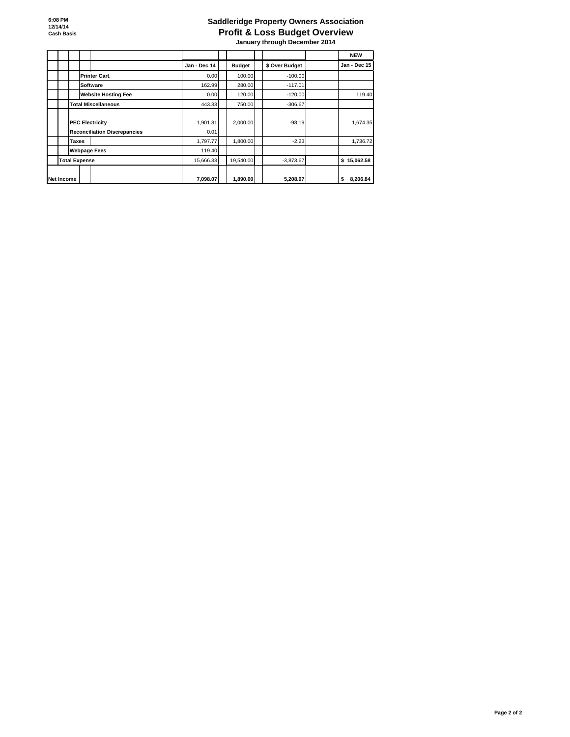**6:08 PM 12/14/14 Cash Basis**

# **Saddleridge Property Owners Association Profit & Loss Budget Overview**

 **January through December 2014**

#### **Page 2 of 2**

|                                     |              |               |                | <b>NEW</b>          |
|-------------------------------------|--------------|---------------|----------------|---------------------|
|                                     | Jan - Dec 14 | <b>Budget</b> | \$ Over Budget | <b>Jan - Dec 15</b> |
| <b>Printer Cart.</b>                | 0.00         | 100.00        | $-100.00$      |                     |
| <b>Software</b>                     | 162.99       | 280.00        | $-117.01$      |                     |
| <b>Website Hosting Fee</b>          | 0.00         | 120.00        | $-120.00$      | 119.40              |
| <b>Total Miscellaneous</b>          | 443.33       | 750.00        | $-306.67$      |                     |
| <b>PEC Electricity</b>              | 1,901.81     | 2,000.00      | $-98.19$       | 1,674.35            |
| <b>Reconciliation Discrepancies</b> | 0.01         |               |                |                     |
| Taxes                               | 1,797.77     | 1,800.00      | $-2.23$        | 1,736.72            |
| <b>Webpage Fees</b>                 | 119.40       |               |                |                     |
| <b>Total Expense</b>                | 15,666.33    | 19,540.00     | $-3,873.67$    | \$15,062.58         |
| Net Income                          | 7,098.07     | 1,890.00      | 5,208.07       | 8,206.84<br>\$      |